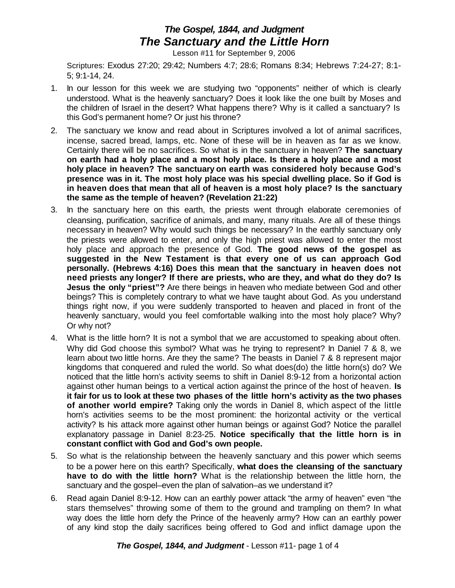## *The Gospel, 1844, and Judgment The Sanctuary and the Little Horn*

Lesson #11 for September 9, 2006

Scriptures: Exodus 27:20; 29:42; Numbers 4:7; 28:6; Romans 8:34; Hebrews 7:24-27; 8:1- 5; 9:1-14, 24.

- 1. In our lesson for this week we are studying two "opponents" neither of which is clearly understood. What is the heavenly sanctuary? Does it look like the one built by Moses and the children of Israel in the desert? What happens there? Why is it called a sanctuary? Is this God's permanent home? Or just his throne?
- 2. The sanctuary we know and read about in Scriptures involved a lot of animal sacrifices, incense, sacred bread, lamps, etc. None of these will be in heaven as far as we know. Certainly there will be no sacrifices. So what is in the sanctuary in heaven? **The sanctuary on earth had a holy place and a most holy place. Is there a holy place and a most holy place in heaven? The sanctuary on earth was considered holy because God's presence was in it. The most holy place was his special dwelling place. So if God is in heaven does that mean that all of heaven is a most holy place? Is the sanctuary the same as the temple of heaven? (Revelation 21:22)**
- 3. In the sanctuary here on this earth, the priests went through elaborate ceremonies of cleansing, purification, sacrifice of animals, and many, many rituals. Are all of these things necessary in heaven? Why would such things be necessary? In the earthly sanctuary only the priests were allowed to enter, and only the high priest was allowed to enter the most holy place and approach the presence of God. **The good news of the gospel as suggested in the New Testament is that every one of us can approach God personally. (Hebrews 4:16) Does this mean that the sanctuary in heaven does not need priests any longer? If there are priests, who are they, and what do they do? Is Jesus the only "priest"?** Are there beings in heaven who mediate between God and other beings? This is completely contrary to what we have taught about God. As you understand things right now, if you were suddenly transported to heaven and placed in front of the heavenly sanctuary, would you feel comfortable walking into the most holy place? Why? Or why not?
- 4. What is the little horn? It is not a symbol that we are accustomed to speaking about often. Why did God choose this symbol? What was he trying to represent? In Daniel 7 & 8, we learn about two little horns. Are they the same? The beasts in Daniel 7 & 8 represent major kingdoms that conquered and ruled the world. So what does(do) the little horn(s) do? We noticed that the little horn's activity seems to shift in Daniel 8:9-12 from a horizontal action against other human beings to a vertical action against the prince of the host of heaven. **Is it fair for us to look at these two phases of the little horn's activity as the two phases of another world empire?** Taking only the words in Daniel 8, which aspect of the little horn's activities seems to be the most prominent: the horizontal activity or the vertical activity? Is his attack more against other human beings or against God? Notice the parallel explanatory passage in Daniel 8:23-25. **Notice specifically that the little horn is in constant conflict with God and God's own people.**
- 5. So what is the relationship between the heavenly sanctuary and this power which seems to be a power here on this earth? Specifically, **what does the cleansing of the sanctuary have to do with the little horn?** What is the relationship between the little horn, the sanctuary and the gospel–even the plan of salvation–as we understand it?
- 6. Read again Daniel 8:9-12. How can an earthly power attack "the army of heaven" even "the stars themselves" throwing some of them to the ground and trampling on them? In what way does the little horn defy the Prince of the heavenly army? How can an earthly power of any kind stop the daily sacrifices being offered to God and inflict damage upon the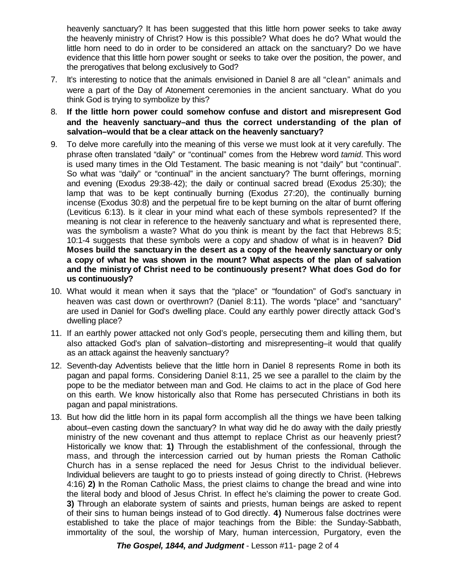heavenly sanctuary? It has been suggested that this little horn power seeks to take away the heavenly ministry of Christ? How is this possible? What does he do? What would the little horn need to do in order to be considered an attack on the sanctuary? Do we have evidence that this little horn power sought or seeks to take over the position, the power, and the prerogatives that belong exclusively to God?

- 7. It's interesting to notice that the animals envisioned in Daniel 8 are all "clean" animals and were a part of the Day of Atonement ceremonies in the ancient sanctuary. What do you think God is trying to symbolize by this?
- 8. **If the little horn power could somehow confuse and distort and misrepresent God and the heavenly sanctuary–and thus the correct understanding of the plan of salvation–would that be a clear attack on the heavenly sanctuary?**
- 9. To delve more carefully into the meaning of this verse we must look at it very carefully. The phrase often translated "daily" or "continual" comes from the Hebrew word *tamid*. This word is used many times in the Old Testament. The basic meaning is not "daily" but "continual". So what was "daily" or "continual" in the ancient sanctuary? The burnt offerings, morning and evening (Exodus 29:38-42); the daily or continual sacred bread (Exodus 25:30); the lamp that was to be kept continually burning (Exodus 27:20), the continually burning incense (Exodus 30:8) and the perpetual fire to be kept burning on the altar of burnt offering (Leviticus 6:13). Is it clear in your mind what each of these symbols represented? If the meaning is not clear in reference to the heavenly sanctuary and what is represented there, was the symbolism a waste? What do you think is meant by the fact that Hebrews 8:5; 10:1-4 suggests that these symbols were a copy and shadow of what is in heaven? **Did Moses build the sanctuary in the desert as a copy of the heavenly sanctuary or only a copy of what he was shown in the mount? What aspects of the plan of salvation and the ministry of Christ need to be continuously present? What does God do for us continuously?**
- 10. What would it mean when it says that the "place" or "foundation" of God's sanctuary in heaven was cast down or overthrown? (Daniel 8:11). The words "place" and "sanctuary" are used in Daniel for God's dwelling place. Could any earthly power directly attack God's dwelling place?
- 11. If an earthly power attacked not only God's people, persecuting them and killing them, but also attacked God's plan of salvation–distorting and misrepresenting–it would that qualify as an attack against the heavenly sanctuary?
- 12. Seventh-day Adventists believe that the little horn in Daniel 8 represents Rome in both its pagan and papal forms. Considering Daniel 8:11, 25 we see a parallel to the claim by the pope to be the mediator between man and God. He claims to act in the place of God here on this earth. We know historically also that Rome has persecuted Christians in both its pagan and papal ministrations.
- 13. But how did the little horn in its papal form accomplish all the things we have been talking about–even casting down the sanctuary? In what way did he do away with the daily priestly ministry of the new covenant and thus attempt to replace Christ as our heavenly priest? Historically we know that: **1)** Through the establishment of the confessional, through the mass, and through the intercession carried out by human priests the Roman Catholic Church has in a sense replaced the need for Jesus Christ to the individual believer. Individual believers are taught to go to priests instead of going directly to Christ. (Hebrews 4:16) **2)** In the Roman Catholic Mass, the priest claims to change the bread and wine into the literal body and blood of Jesus Christ. In effect he's claiming the power to create God. **3)** Through an elaborate system of saints and priests, human beings are asked to repent of their sins to human beings instead of to God directly. **4)** Numerous false doctrines were established to take the place of major teachings from the Bible: the Sunday-Sabbath, immortality of the soul, the worship of Mary, human intercession, Purgatory, even the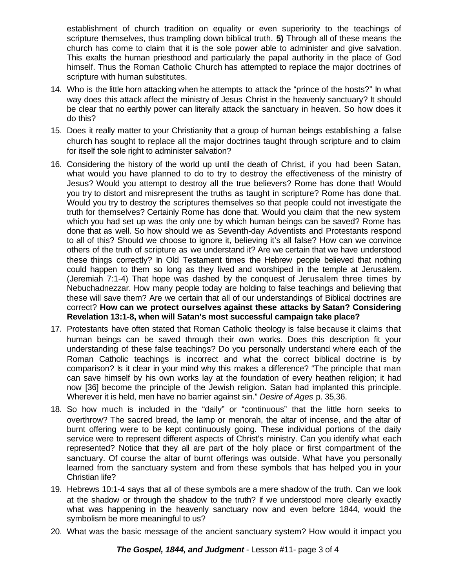establishment of church tradition on equality or even superiority to the teachings of scripture themselves, thus trampling down biblical truth. **5)** Through all of these means the church has come to claim that it is the sole power able to administer and give salvation. This exalts the human priesthood and particularly the papal authority in the place of God himself. Thus the Roman Catholic Church has attempted to replace the major doctrines of scripture with human substitutes.

- 14. Who is the little horn attacking when he attempts to attack the "prince of the hosts?" In what way does this attack affect the ministry of Jesus Christ in the heavenly sanctuary? It should be clear that no earthly power can literally attack the sanctuary in heaven. So how does it do this?
- 15. Does it really matter to your Christianity that a group of human beings establishing a false church has sought to replace all the major doctrines taught through scripture and to claim for itself the sole right to administer salvation?
- 16. Considering the history of the world up until the death of Christ, if you had been Satan, what would you have planned to do to try to destroy the effectiveness of the ministry of Jesus? Would you attempt to destroy all the true believers? Rome has done that! Would you try to distort and misrepresent the truths as taught in scripture? Rome has done that. Would you try to destroy the scriptures themselves so that people could not investigate the truth for themselves? Certainly Rome has done that. Would you claim that the new system which you had set up was the only one by which human beings can be saved? Rome has done that as well. So how should we as Seventh-day Adventists and Protestants respond to all of this? Should we choose to ignore it, believing it's all false? How can we convince others of the truth of scripture as we understand it? Are we certain that we have understood these things correctly? In Old Testament times the Hebrew people believed that nothing could happen to them so long as they lived and worshiped in the temple at Jerusalem. (Jeremiah 7:1-4) That hope was dashed by the conquest of Jerusalem three times by Nebuchadnezzar. How many people today are holding to false teachings and believing that these will save them? Are we certain that all of our understandings of Biblical doctrines are correct? **How can we protect ourselves against these attacks by Satan? Considering Revelation 13:1-8, when will Satan's most successful campaign take place?**
- 17. Protestants have often stated that Roman Catholic theology is false because it claims that human beings can be saved through their own works. Does this description fit your understanding of these false teachings? Do you personally understand where each of the Roman Catholic teachings is incorrect and what the correct biblical doctrine is by comparison? Is it clear in your mind why this makes a difference? "The principle that man can save himself by his own works lay at the foundation of every heathen religion; it had now [36] become the principle of the Jewish religion. Satan had implanted this principle. Wherever it is held, men have no barrier against sin." *Desire of Ages* p. 35,36.
- 18. So how much is included in the "daily" or "continuous" that the little horn seeks to overthrow? The sacred bread, the lamp or menorah, the altar of incense, and the altar of burnt offering were to be kept continuously going. These individual portions of the daily service were to represent different aspects of Christ's ministry. Can you identify what each represented? Notice that they all are part of the holy place or first compartment of the sanctuary. Of course the altar of burnt offerings was outside. What have you personally learned from the sanctuary system and from these symbols that has helped you in your Christian life?
- 19. Hebrews 10:1-4 says that all of these symbols are a mere shadow of the truth. Can we look at the shadow or through the shadow to the truth? If we understood more clearly exactly what was happening in the heavenly sanctuary now and even before 1844, would the symbolism be more meaningful to us?
- 20. What was the basic message of the ancient sanctuary system? How would it impact you